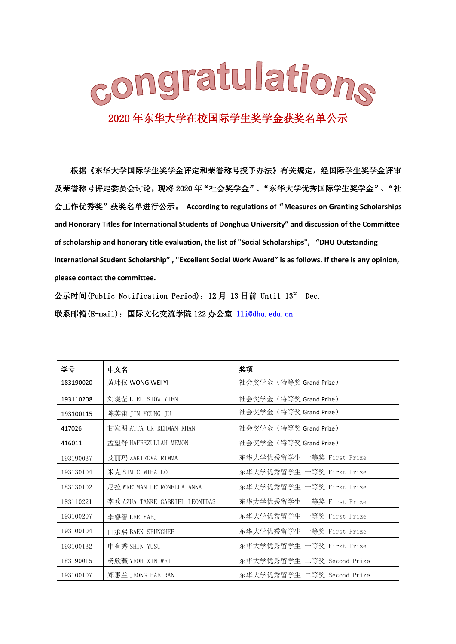

根据《东华大学国际学生奖学金评定和荣誉称号授予办法》有关规定,经国际学生奖学金评审 及荣誉称号评定委员会讨论,现将 2020 年"社会奖学金"、"东华大学优秀国际学生奖学金"、"社 会工作优秀奖"获奖名单进行公示。 **According to regulations of**"**Measures on Granting Scholarships and Honorary Titles for International Students of Donghua University" and discussion of the Committee of scholarship and honorary title evaluation, the list of "Social Scholarships", "DHU Outstanding International Student Scholarship" , "Excellent Social Work Award" is as follows. If there is any opinion, please contact the committee.**

公示时间(Public Notification Period): 12月 13日前 Until 13<sup>th</sup> Dec. 联系邮箱(E-mail): 国际文化交流学院 122 办公室 lli@dhu. edu. cn

| 学号        | 中文名                            | 奖项                         |
|-----------|--------------------------------|----------------------------|
| 183190020 | 黄玮仪 WONG WEI YI                | 社会奖学金 (特等奖 Grand Prize)    |
| 193110208 | 刘晓莹 LIEU SIOW YIEN             | 社会奖学金(特等奖 Grand Prize)     |
| 193100115 | 陈英宙 JIN YOUNG JU               | 社会奖学金 (特等奖 Grand Prize)    |
| 417026    | 甘家明 ATTA UR REHMAN KHAN        | 社会奖学金 (特等奖 Grand Prize)    |
| 416011    | 孟望舒 HAFEEZULLAH MEMON          | 社会奖学金 (特等奖 Grand Prize)    |
| 193190037 | 艾丽玛 ZAKIROVA RIMMA             | 东华大学优秀留学生 一等奖 First Prize  |
| 193130104 | 米克 SIMIC MIHAILO               | 东华大学优秀留学生 一等奖 First Prize  |
| 183130102 | 尼拉 WRETMAN PETRONELLA ANNA     | 东华大学优秀留学生 一等奖 First Prize  |
| 183110221 | 李欧 AZUA TANKE GABRIEL LEONIDAS | 东华大学优秀留学生 一等奖 First Prize  |
| 193100207 | 李睿智 LEE YAEJI                  | 东华大学优秀留学生 一等奖 First Prize  |
| 193100104 | 白承熙 BAEK SEUNGHEE              | 东华大学优秀留学生 一等奖 First Prize  |
| 193100132 | 申有秀 SHIN YUSU                  | 东华大学优秀留学生 一等奖 First Prize  |
| 183190015 | 杨欣薇 YEOH XIN WEI               | 东华大学优秀留学生 二等奖 Second Prize |
| 193100107 | 郑惠兰 JEONG HAE RAN              | 东华大学优秀留学生 二等奖 Second Prize |